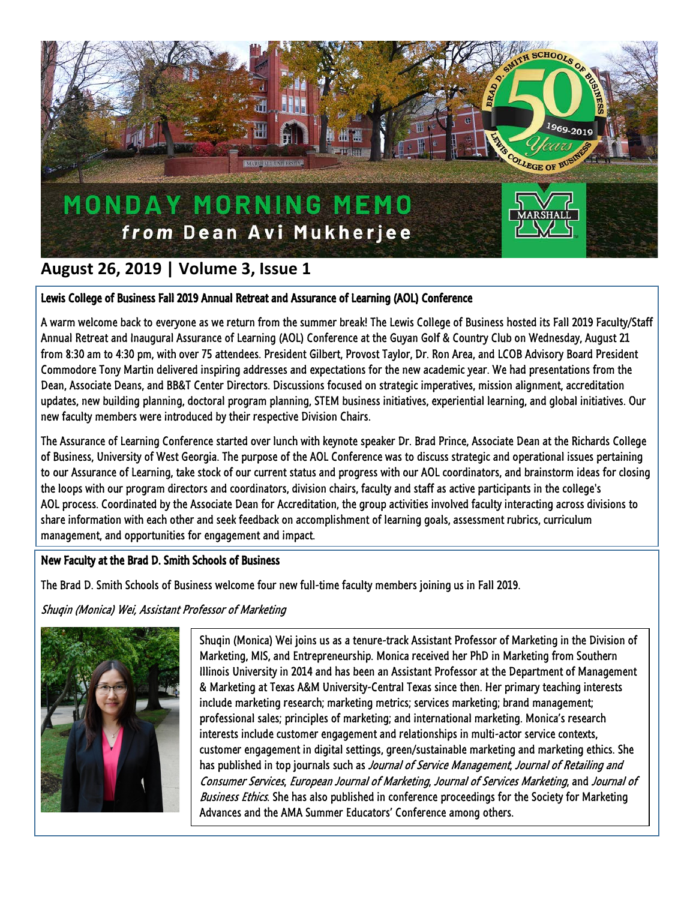

# **August 26, 2019 | Volume 3, Issue 1**

## Lewis College of Business Fall 2019 Annual Retreat and Assurance of Learning (AOL) Conference

A warm welcome back to everyone as we return from the summer break! The Lewis College of Business hosted its Fall 2019 Faculty/Staff Annual Retreat and Inaugural Assurance of Learning (AOL) Conference at the Guyan Golf & Country Club on Wednesday, August 21 from 8:30 am to 4:30 pm, with over 75 attendees. President Gilbert, Provost Taylor, Dr. Ron Area, and LCOB Advisory Board President Commodore Tony Martin delivered inspiring addresses and expectations for the new academic year. We had presentations from the Dean, Associate Deans, and BB&T Center Directors. Discussions focused on strategic imperatives, mission alignment, accreditation updates, new building planning, doctoral program planning, STEM business initiatives, experiential learning, and global initiatives. Our new faculty members were introduced by their respective Division Chairs.

The Assurance of Learning Conference started over lunch with keynote speaker Dr. Brad Prince, Associate Dean at the Richards College of Business, University of West Georgia. The purpose of the AOL Conference was to discuss strategic and operational issues pertaining to our Assurance of Learning, take stock of our current status and progress with our AOL coordinators, and brainstorm ideas for closing the loops with our program directors and coordinators, division chairs, faculty and staff as active participants in the college's AOL process. Coordinated by the Associate Dean for Accreditation, the group activities involved faculty interacting across divisions to share information with each other and seek feedback on accomplishment of learning goals, assessment rubrics, curriculum management, and opportunities for engagement and impact.

## New Faculty at the Brad D. Smith Schools of Business

The Brad D. Smith Schools of Business welcome four new full-time faculty members joining us in Fall 2019.

Shuqin (Monica) Wei, Assistant Professor of Marketing



Shuqin (Monica) Wei joins us as a tenure-track Assistant Professor of Marketing in the Division of Marketing, MIS, and Entrepreneurship. Monica received her PhD in Marketing from Southern Illinois University in 2014 and has been an Assistant Professor at the Department of Management & Marketing at Texas A&M University-Central Texas since then. Her primary teaching interests include marketing research; marketing metrics; services marketing; brand management; professional sales; principles of marketing; and international marketing. Monica's research interests include customer engagement and relationships in multi-actor service contexts, customer engagement in digital settings, green/sustainable marketing and marketing ethics. She has published in top journals such as Journal of Service Management, Journal of Retailing and Consumer Services, European Journal of Marketing, Journal of Services Marketing, and Journal of Business Ethics. She has also published in conference proceedings for the Society for Marketing Advances and the AMA Summer Educators' Conference among others.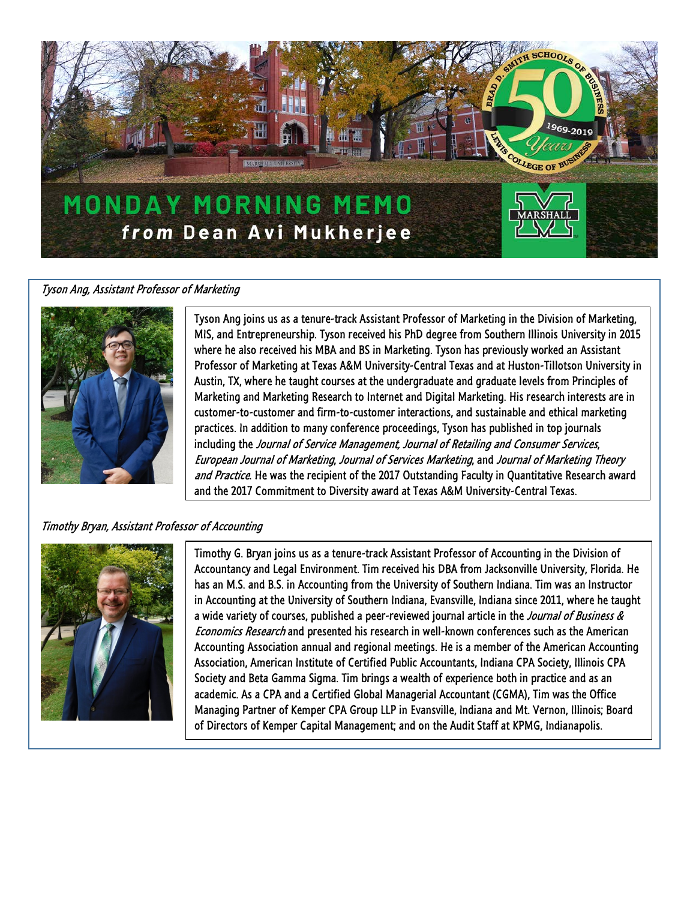

#### Tyson Ang, Assistant Professor of Marketing



Tyson Ang joins us as a tenure-track Assistant Professor of Marketing in the Division of Marketing, MIS, and Entrepreneurship. Tyson received his PhD degree from Southern Illinois University in 2015 where he also received his MBA and BS in Marketing. Tyson has previously worked an Assistant Professor of Marketing at Texas A&M University-Central Texas and at Huston-Tillotson University in Austin, TX, where he taught courses at the undergraduate and graduate levels from Principles of Marketing and Marketing Research to Internet and Digital Marketing. His research interests are in customer-to-customer and firm-to-customer interactions, and sustainable and ethical marketing practices. In addition to many conference proceedings, Tyson has published in top journals including the Journal of Service Management, Journal of Retailing and Consumer Services, European Journal of Marketing, Journal of Services Marketing, and Journal of Marketing Theory and Practice. He was the recipient of the 2017 Outstanding Faculty in Quantitative Research award and the 2017 Commitment to Diversity award at Texas A&M University-Central Texas.

### Timothy Bryan, Assistant Professor of Accounting



Timothy G. Bryan joins us as a tenure-track Assistant Professor of Accounting in the Division of Accountancy and Legal Environment. Tim received his DBA from Jacksonville University, Florida. He has an M.S. and B.S. in Accounting from the University of Southern Indiana. Tim was an Instructor in Accounting at the University of Southern Indiana, Evansville, Indiana since 2011, where he taught a wide variety of courses, published a peer-reviewed journal article in the *Journal of Business &* Economics Research and presented his research in well-known conferences such as the American Accounting Association annual and regional meetings. He is a member of the American Accounting Association, American Institute of Certified Public Accountants, Indiana CPA Society, Illinois CPA Society and Beta Gamma Sigma. Tim brings a wealth of experience both in practice and as an academic. As a CPA and a Certified Global Managerial Accountant (CGMA), Tim was the Office Managing Partner of Kemper CPA Group LLP in Evansville, Indiana and Mt. Vernon, Illinois; Board of Directors of Kemper Capital Management; and on the Audit Staff at KPMG, Indianapolis.